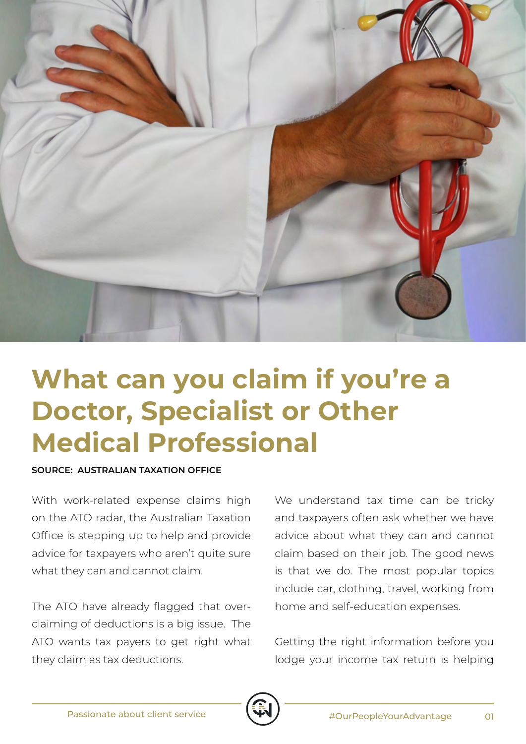

## **What can you claim if you're a Doctor, Specialist or Other Medical Professional**

## **SOURCE: AUSTRALIAN TAXATION OFFICE**

With work-related expense claims high on the ATO radar, the Australian Taxation Office is stepping up to help and provide advice for taxpayers who aren't quite sure what they can and cannot claim.

The ATO have already flagged that overclaiming of deductions is a big issue. The ATO wants tax payers to get right what they claim as tax deductions.

We understand tax time can be tricky and taxpayers often ask whether we have advice about what they can and cannot claim based on their job. The good news is that we do. The most popular topics include car, clothing, travel, working from home and self-education expenses.

Getting the right information before you lodge your income tax return is helping

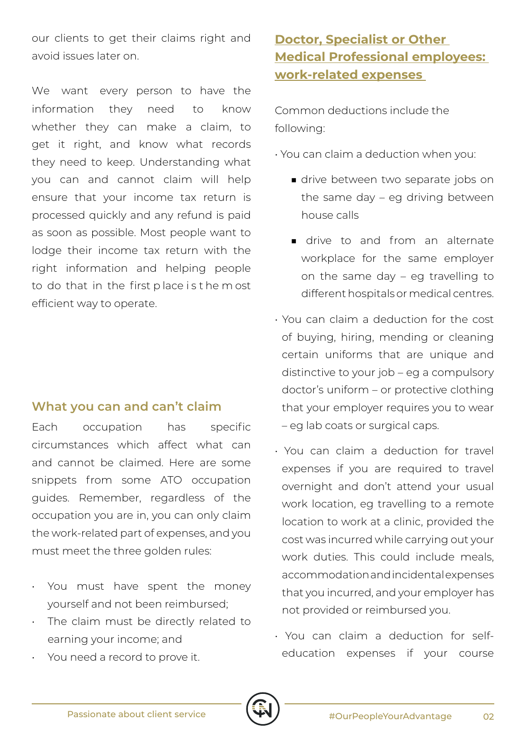our clients to get their claims right and avoid issues later on.

We want every person to have the information they need to know whether they can make a claim, to get it right, and know what records they need to keep. Understanding what you can and cannot claim will help ensure that your income tax return is processed quickly and any refund is paid as soon as possible. Most people want to lodge their income tax return with the right information and helping people to do that in the first p lace i s t he m ost efficient way to operate.

## **What you can and can't claim**

Each occupation has specific circumstances which affect what can and cannot be claimed. Here are some snippets from some ATO occupation guides. Remember, regardless of the occupation you are in, you can only claim the work-related part of expenses, and you must meet the three golden rules:

- You must have spent the money yourself and not been reimbursed;
- The claim must be directly related to earning your income; and
- You need a record to prove it.

## **Doctor, Specialist or Other Medical Professional employees: work-related expenses**

Common deductions include the following:

• You can claim a deduction when you:

- drive between two separate jobs on the same day – eg driving between house calls
- drive to and from an alternate workplace for the same employer on the same day – eg travelling to different hospitals or medical centres.
- You can claim a deduction for the cost of buying, hiring, mending or cleaning certain uniforms that are unique and distinctive to your job – eg a compulsory doctor's uniform – or protective clothing that your employer requires you to wear – eg lab coats or surgical caps.
- You can claim a deduction for travel expenses if you are required to travel overnight and don't attend your usual work location, eg travelling to a remote location to work at a clinic, provided the cost was incurred while carrying out your work duties. This could include meals, accommodation and incidental expenses that you incurred, and your employer has not provided or reimbursed you.
- You can claim a deduction for selfeducation expenses if your course